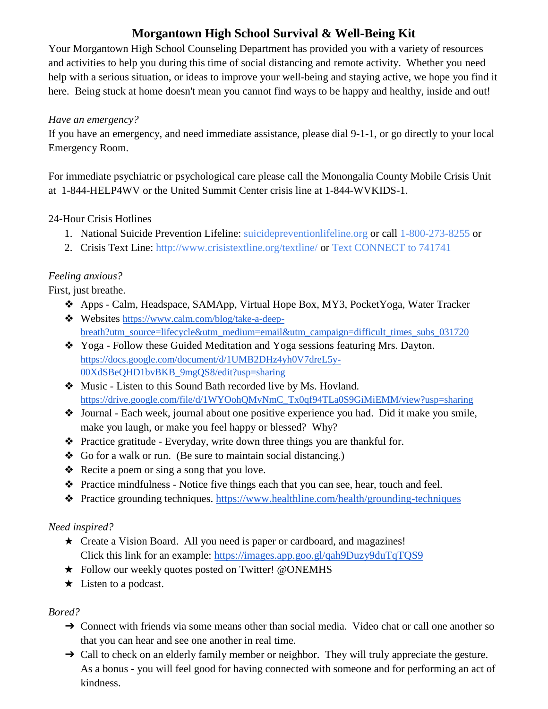# **Morgantown High School Survival & Well-Being Kit**

Your Morgantown High School Counseling Department has provided you with a variety of resources and activities to help you during this time of social distancing and remote activity. Whether you need help with a serious situation, or ideas to improve your well-being and staying active, we hope you find it here. Being stuck at home doesn't mean you cannot find ways to be happy and healthy, inside and out!

### *Have an emergency?*

If you have an emergency, and need immediate assistance, please dial 9-1-1, or go directly to your local Emergency Room.

For immediate psychiatric or psychological care please call the Monongalia County Mobile Crisis Unit at 1-844-HELP4WV or the United Summit Center crisis line at 1-844-WVKIDS-1.

## 24-Hour Crisis Hotlines

- 1. National Suicide Prevention Lifeline: [suicidepreventionlifeline.org](https://suicidepreventionlifeline.org/) or call 1-800-273-8255 or
- 2. Crisis Text Line:<http://www.crisistextline.org/textline/> or Text CONNECT to 741741

## *Feeling anxious?*

First, just breathe.

- ❖ Apps Calm, Headspace, SAMApp, Virtual Hope Box, MY3, PocketYoga, Water Tracker
- ❖ Websites [https://www.calm.com/blog/take-a-deep](https://nam01.safelinks.protection.outlook.com/?url=https%3A%2F%2Fwww.calm.com%2Fblog%2Ftake-a-deep-breath%3Futm_source%3Dlifecycle%26utm_medium%3Demail%26utm_campaign%3Ddifficult_times_subs_031720&data=02%7C01%7Cabsmith%40k12.wv.us%7C882340b5d91e42a4885d08d7cb7e5e0d%7Ce019b04b330c467a8bae09fb17374d6a%7C0%7C0%7C637201615937152487&sdata=rsE71GlgMFjPI3BhW%2B8U6CAzC%2FE%2FB8fB%2BVYg7JkD9yg%3D&reserved=0)[breath?utm\\_source=lifecycle&utm\\_medium=email&utm\\_campaign=difficult\\_times\\_subs\\_031720](https://nam01.safelinks.protection.outlook.com/?url=https%3A%2F%2Fwww.calm.com%2Fblog%2Ftake-a-deep-breath%3Futm_source%3Dlifecycle%26utm_medium%3Demail%26utm_campaign%3Ddifficult_times_subs_031720&data=02%7C01%7Cabsmith%40k12.wv.us%7C882340b5d91e42a4885d08d7cb7e5e0d%7Ce019b04b330c467a8bae09fb17374d6a%7C0%7C0%7C637201615937152487&sdata=rsE71GlgMFjPI3BhW%2B8U6CAzC%2FE%2FB8fB%2BVYg7JkD9yg%3D&reserved=0)
- ❖ Yoga Follow these Guided Meditation and Yoga sessions featuring Mrs. Dayton. [https://docs.google.com/document/d/1UMB2DHz4yh0V7dreL5y-](https://docs.google.com/document/d/1UMB2DHz4yh0V7dreL5y-00XdSBeQHD1bvBKB_9mgQS8/edit?usp=sharing)[00XdSBeQHD1bvBKB\\_9mgQS8/edit?usp=sharing](https://docs.google.com/document/d/1UMB2DHz4yh0V7dreL5y-00XdSBeQHD1bvBKB_9mgQS8/edit?usp=sharing)
- ❖ Music Listen to this Sound Bath recorded live by Ms. Hovland. [https://drive.google.com/file/d/1WYOohQMvNmC\\_Tx0qf94TLa0S9GiMiEMM/view?usp=sharing](https://nam01.safelinks.protection.outlook.com/?url=https%3A%2F%2Fdrive.google.com%2Ffile%2Fd%2F1WYOohQMvNmC_Tx0qf94TLa0S9GiMiEMM%2Fview%3Fusp%3Dsharing&data=02%7C01%7Cabsmith%40k12.wv.us%7Ceb6c1aa1c1a84bc8fb9108d7ceb92256%7Ce019b04b330c467a8bae09fb17374d6a%7C0%7C0%7C637205166847538567&sdata=JYvcDpSlqM1DpEXtPSPdT4RwpbBZ%2Bh4tFDum6o9p41s%3D&reserved=0)
- ❖ Journal Each week, journal about one positive experience you had. Did it make you smile, make you laugh, or make you feel happy or blessed? Why?
- ❖ Practice gratitude Everyday, write down three things you are thankful for.
- ❖ Go for a walk or run. (Be sure to maintain social distancing.)
- ❖ Recite a poem or sing a song that you love.
- ❖ Practice mindfulness Notice five things each that you can see, hear, touch and feel.
- ❖ Practice grounding techniques.<https://www.healthline.com/health/grounding-techniques>

### *Need inspired?*

- ★ Create a Vision Board. All you need is paper or cardboard, and magazines! Click this link for an example:<https://images.app.goo.gl/qah9Duzy9duTqTQS9>
- ★ Follow our weekly quotes posted on Twitter! @ONEMHS
- $\star$  Listen to a podcast.

### *Bored?*

- → Connect with friends via some means other than social media. Video chat or call one another so that you can hear and see one another in real time.
- → Call to check on an elderly family member or neighbor. They will truly appreciate the gesture. As a bonus - you will feel good for having connected with someone and for performing an act of kindness.